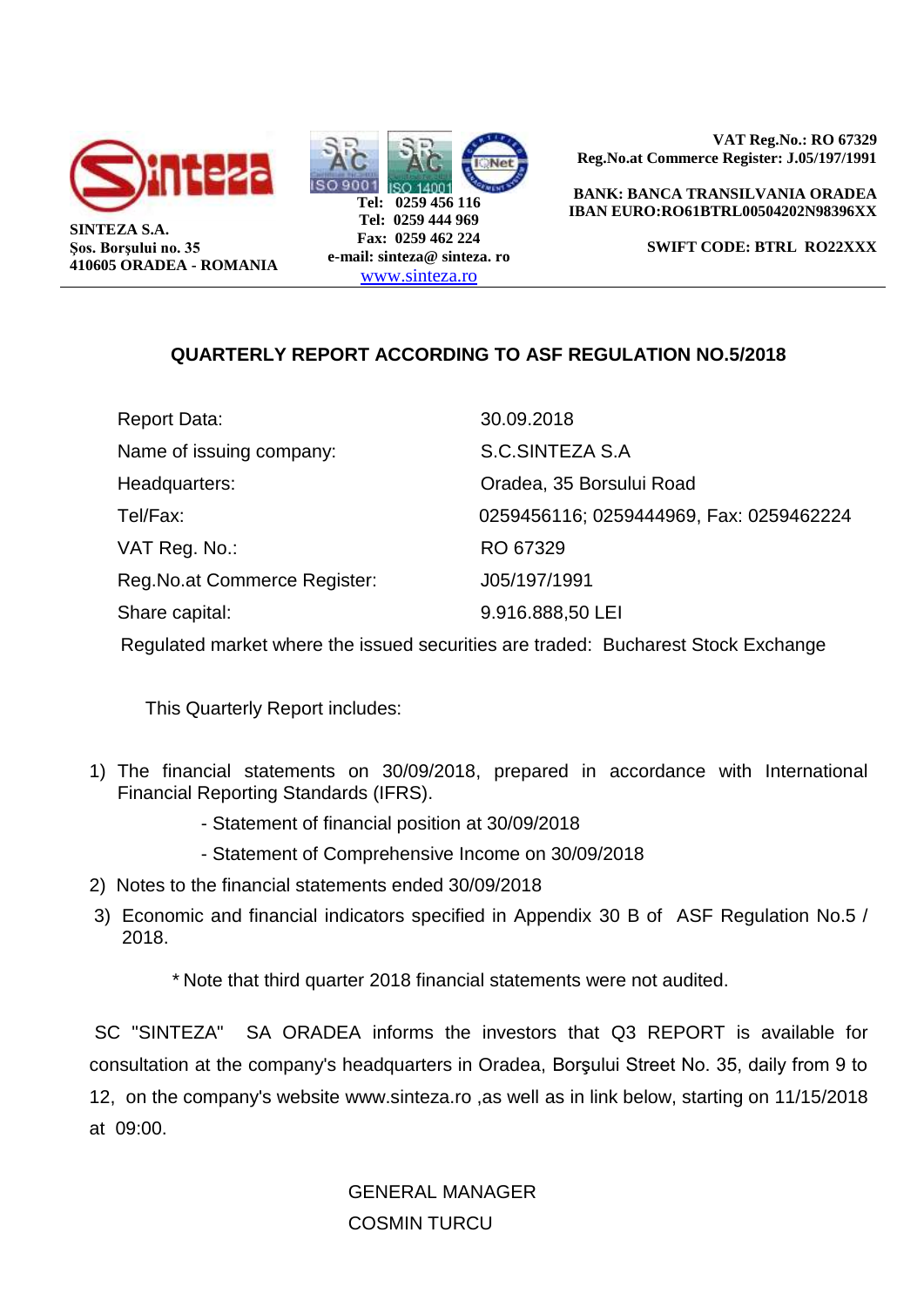



**VAT Reg.No.: RO 67329 Reg.No.at Commerce Register: J.05/197/1991** 

 **BANK: BANCA TRANSILVANIA ORADEA IBAN EURO:RO61BTRL00504202N98396XX**

**SWIFT CODE: BTRL RO22XXX** 

# **QUARTERLY REPORT ACCORDING TO ASF REGULATION NO.5/2018**

| Report Data:                   | 30.09.2018                              |
|--------------------------------|-----------------------------------------|
| Name of issuing company:       | S.C.SINTEZA S.A                         |
| Headquarters:                  | Oradea, 35 Borsului Road                |
| Tel/Fax:                       | 0259456116; 0259444969, Fax: 0259462224 |
| VAT Reg. No.:                  | RO 67329                                |
| Reg. No. at Commerce Register: | J05/197/1991                            |
| Share capital:                 | 9.916.888,50 LEI                        |
|                                |                                         |

Regulated market where the issued securities are traded: Bucharest Stock Exchange

This Quarterly Report includes:

- 1) The financial statements on 30/09/2018, prepared in accordance with International Financial Reporting Standards (IFRS).
	- Statement of financial position at 30/09/2018
	- Statement of Comprehensive Income on 30/09/2018
- 2) Notes to the financial statements ended 30/09/2018
- 3) Economic and financial indicators specified in Appendix 30 B of ASF Regulation No.5 / 2018.

\* Note that third quarter 2018 financial statements were not audited.

SC "SINTEZA" SA ORADEA informs the investors that Q3 REPORT is available for consultation at the company's headquarters in Oradea, Borşului Street No. 35, daily from 9 to 12, on the company's website www.sinteza.ro ,as well as in link below, starting on 11/15/2018 at 09:00.

> GENERAL MANAGER COSMIN TURCU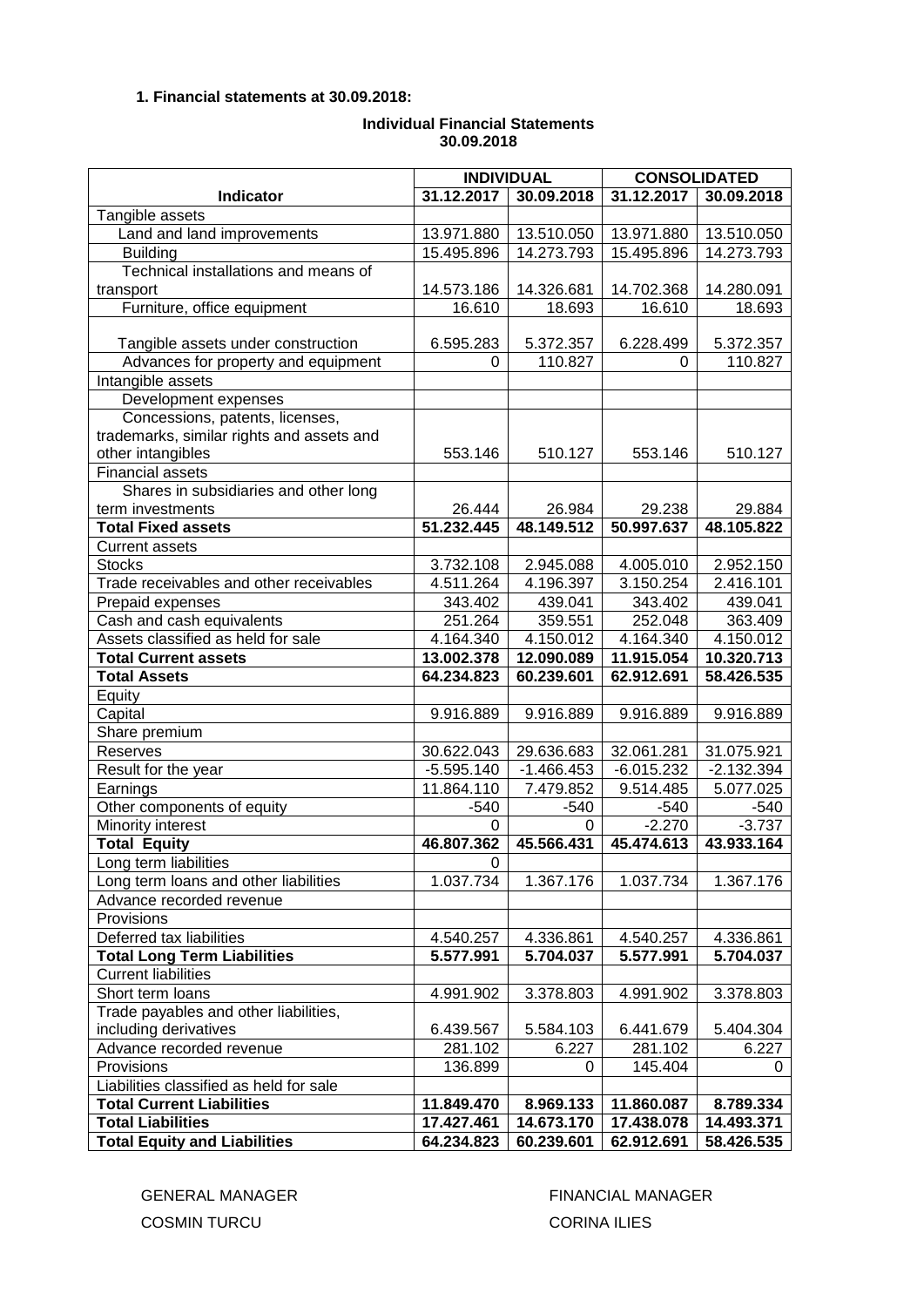## **1. Financial statements at 30.09.2018:**

## **Individual Financial Statements 30.09.2018**

|                                           | <b>INDIVIDUAL</b> |              | <b>CONSOLIDATED</b> |              |
|-------------------------------------------|-------------------|--------------|---------------------|--------------|
| <b>Indicator</b>                          | 31.12.2017        | 30.09.2018   | 31.12.2017          | 30.09.2018   |
| Tangible assets                           |                   |              |                     |              |
| Land and land improvements                | 13.971.880        | 13.510.050   | 13.971.880          | 13.510.050   |
| <b>Building</b>                           | 15.495.896        | 14.273.793   | 15.495.896          | 14.273.793   |
| Technical installations and means of      |                   |              |                     |              |
| transport                                 | 14.573.186        | 14.326.681   | 14.702.368          | 14.280.091   |
| Furniture, office equipment               | 16.610            | 18.693       | 16.610              | 18.693       |
|                                           |                   |              |                     |              |
| Tangible assets under construction        | 6.595.283         | 5.372.357    | 6.228.499           | 5.372.357    |
| Advances for property and equipment       | 0                 | 110.827      | 0                   | 110.827      |
| Intangible assets                         |                   |              |                     |              |
| Development expenses                      |                   |              |                     |              |
| Concessions, patents, licenses,           |                   |              |                     |              |
| trademarks, similar rights and assets and |                   |              |                     |              |
| other intangibles                         | 553.146           | 510.127      | 553.146             | 510.127      |
| <b>Financial assets</b>                   |                   |              |                     |              |
| Shares in subsidiaries and other long     |                   |              |                     |              |
| term investments                          | 26.444            | 26.984       | 29.238              | 29.884       |
| <b>Total Fixed assets</b>                 | 51.232.445        | 48.149.512   | 50.997.637          | 48.105.822   |
| <b>Current assets</b>                     |                   |              |                     |              |
| <b>Stocks</b>                             | 3.732.108         | 2.945.088    | 4.005.010           | 2.952.150    |
| Trade receivables and other receivables   | 4.511.264         | 4.196.397    | 3.150.254           | 2.416.101    |
| Prepaid expenses                          | 343.402           | 439.041      | 343.402             | 439.041      |
| Cash and cash equivalents                 | 251.264           | 359.551      | 252.048             | 363.409      |
| Assets classified as held for sale        | 4.164.340         | 4.150.012    | 4.164.340           | 4.150.012    |
| <b>Total Current assets</b>               | 13.002.378        | 12.090.089   | 11.915.054          | 10.320.713   |
| <b>Total Assets</b>                       | 64.234.823        | 60.239.601   | 62.912.691          | 58.426.535   |
| Equity                                    |                   |              |                     |              |
| Capital                                   | 9.916.889         | 9.916.889    | 9.916.889           | 9.916.889    |
| Share premium                             |                   |              |                     |              |
| Reserves                                  | 30.622.043        | 29.636.683   | 32.061.281          | 31.075.921   |
| Result for the year                       | $-5.595.140$      | $-1.466.453$ | $-6.015.232$        | $-2.132.394$ |
| Earnings                                  | 11.864.110        | 7.479.852    | 9.514.485           | 5.077.025    |
| Other components of equity                | $-540$            | $-540$       | $-540$              | $-540$       |
| Minority interest                         | $\Omega$          | $\Omega$     | $-2.270$            | $-3.737$     |
| <b>Total Equity</b>                       | 46.807.362        | 45.566.431   | 45.474.613          | 43.933.164   |
| Long term liabilities                     | $\overline{0}$    |              |                     |              |
| Long term loans and other liabilities     | 1.037.734         | 1.367.176    | 1.037.734           | 1.367.176    |
| Advance recorded revenue                  |                   |              |                     |              |
| Provisions                                |                   |              |                     |              |
| Deferred tax liabilities                  | 4.540.257         | 4.336.861    | 4.540.257           | 4.336.861    |
| <b>Total Long Term Liabilities</b>        | 5.577.991         | 5.704.037    | 5.577.991           | 5.704.037    |
| <b>Current liabilities</b>                |                   |              |                     |              |
| Short term loans                          | 4.991.902         | 3.378.803    | 4.991.902           | 3.378.803    |
| Trade payables and other liabilities,     |                   |              |                     |              |
| including derivatives                     | 6.439.567         | 5.584.103    | 6.441.679           | 5.404.304    |
| Advance recorded revenue                  | 281.102           | 6.227        | 281.102             | 6.227        |
| Provisions                                | 136.899           | 0            | 145.404             | 0            |
| Liabilities classified as held for sale   |                   |              |                     |              |
| <b>Total Current Liabilities</b>          | 11.849.470        | 8.969.133    | 11.860.087          | 8.789.334    |
| <b>Total Liabilities</b>                  | 17.427.461        | 14.673.170   | 17.438.078          | 14.493.371   |
| <b>Total Equity and Liabilities</b>       | 64.234.823        | 60.239.601   | 62.912.691          | 58.426.535   |

COSMIN TURCU CORINA ILIES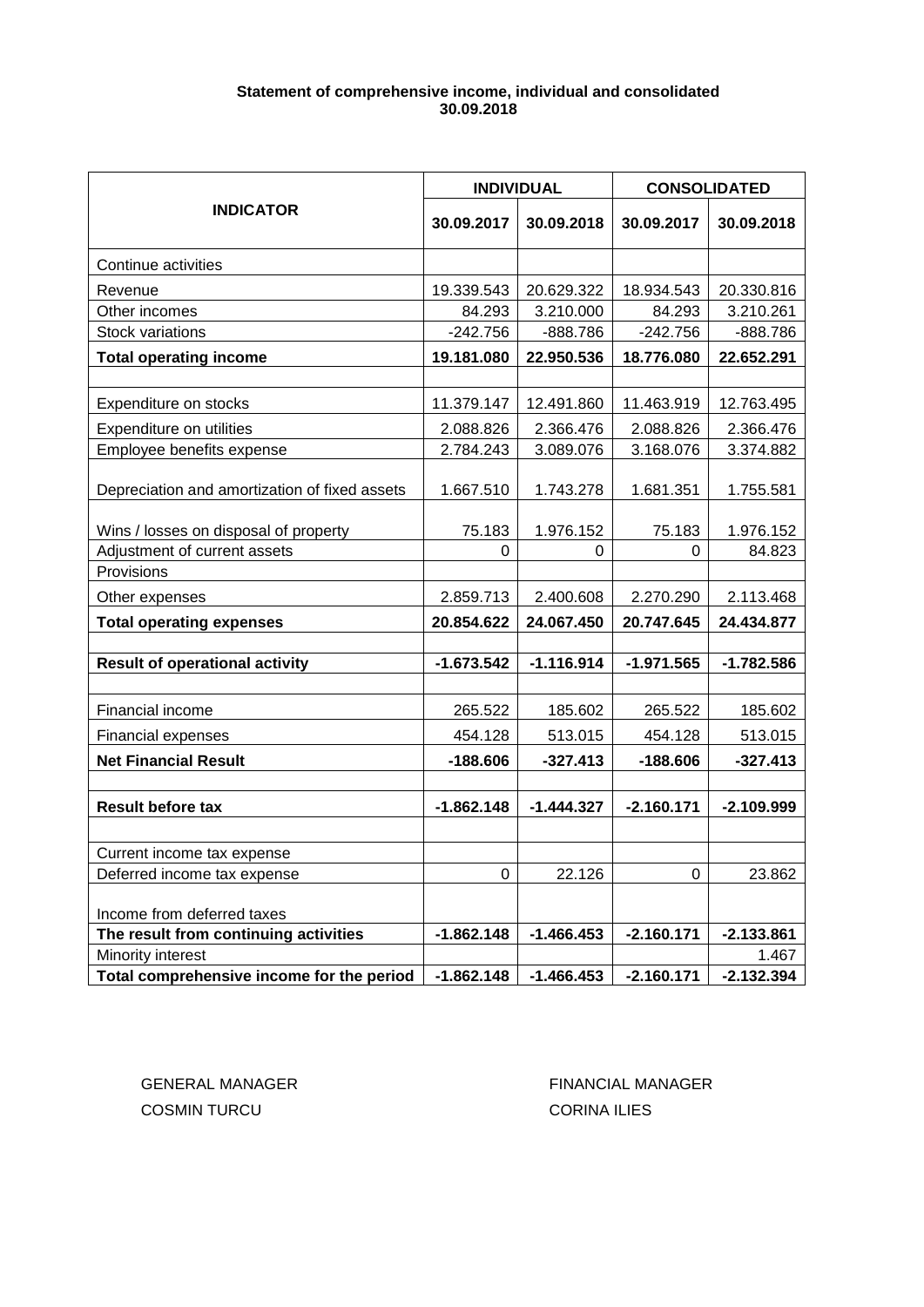# **Statement of comprehensive income, individual and consolidated 30.09.2018**

|                                               | <b>INDIVIDUAL</b> |              | <b>CONSOLIDATED</b> |              |
|-----------------------------------------------|-------------------|--------------|---------------------|--------------|
| <b>INDICATOR</b>                              | 30.09.2017        | 30.09.2018   | 30.09.2017          | 30.09.2018   |
| Continue activities                           |                   |              |                     |              |
| Revenue                                       | 19.339.543        | 20.629.322   | 18.934.543          | 20.330.816   |
| Other incomes                                 | 84.293            | 3.210.000    | 84.293              | 3.210.261    |
| Stock variations                              | $-242.756$        | -888.786     | $-242.756$          | -888.786     |
| <b>Total operating income</b>                 | 19.181.080        | 22.950.536   | 18.776.080          | 22.652.291   |
|                                               |                   |              |                     |              |
| Expenditure on stocks                         | 11.379.147        | 12.491.860   | 11.463.919          | 12.763.495   |
| Expenditure on utilities                      | 2.088.826         | 2.366.476    | 2.088.826           | 2.366.476    |
| Employee benefits expense                     | 2.784.243         | 3.089.076    | 3.168.076           | 3.374.882    |
| Depreciation and amortization of fixed assets | 1.667.510         | 1.743.278    | 1.681.351           | 1.755.581    |
| Wins / losses on disposal of property         | 75.183            | 1.976.152    | 75.183              | 1.976.152    |
| Adjustment of current assets                  | 0                 | 0            | 0                   | 84.823       |
| Provisions                                    |                   |              |                     |              |
| Other expenses                                | 2.859.713         | 2.400.608    | 2.270.290           | 2.113.468    |
| <b>Total operating expenses</b>               | 20.854.622        | 24.067.450   | 20.747.645          | 24.434.877   |
|                                               |                   |              |                     |              |
| <b>Result of operational activity</b>         | $-1.673.542$      | $-1.116.914$ | $-1.971.565$        | $-1.782.586$ |
| Financial income                              | 265.522           | 185.602      | 265.522             | 185.602      |
| <b>Financial expenses</b>                     | 454.128           | 513.015      | 454.128             | 513.015      |
| <b>Net Financial Result</b>                   | $-188.606$        | $-327.413$   | $-188.606$          | $-327.413$   |
|                                               |                   |              |                     |              |
| <b>Result before tax</b>                      | $-1.862.148$      | $-1.444.327$ | $-2.160.171$        | $-2.109.999$ |
|                                               |                   |              |                     |              |
| Current income tax expense                    |                   |              |                     |              |
| Deferred income tax expense                   | 0                 | 22.126       | 0                   | 23.862       |
| Income from deferred taxes                    |                   |              |                     |              |
| The result from continuing activities         | $-1.862.148$      | $-1.466.453$ | $-2.160.171$        | $-2.133.861$ |
| Minority interest                             |                   |              |                     | 1.467        |
| Total comprehensive income for the period     | $-1.862.148$      | $-1.466.453$ | $-2.160.171$        | $-2.132.394$ |

COSMIN TURCU CORINA ILIES

GENERAL MANAGER FINANCIAL MANAGER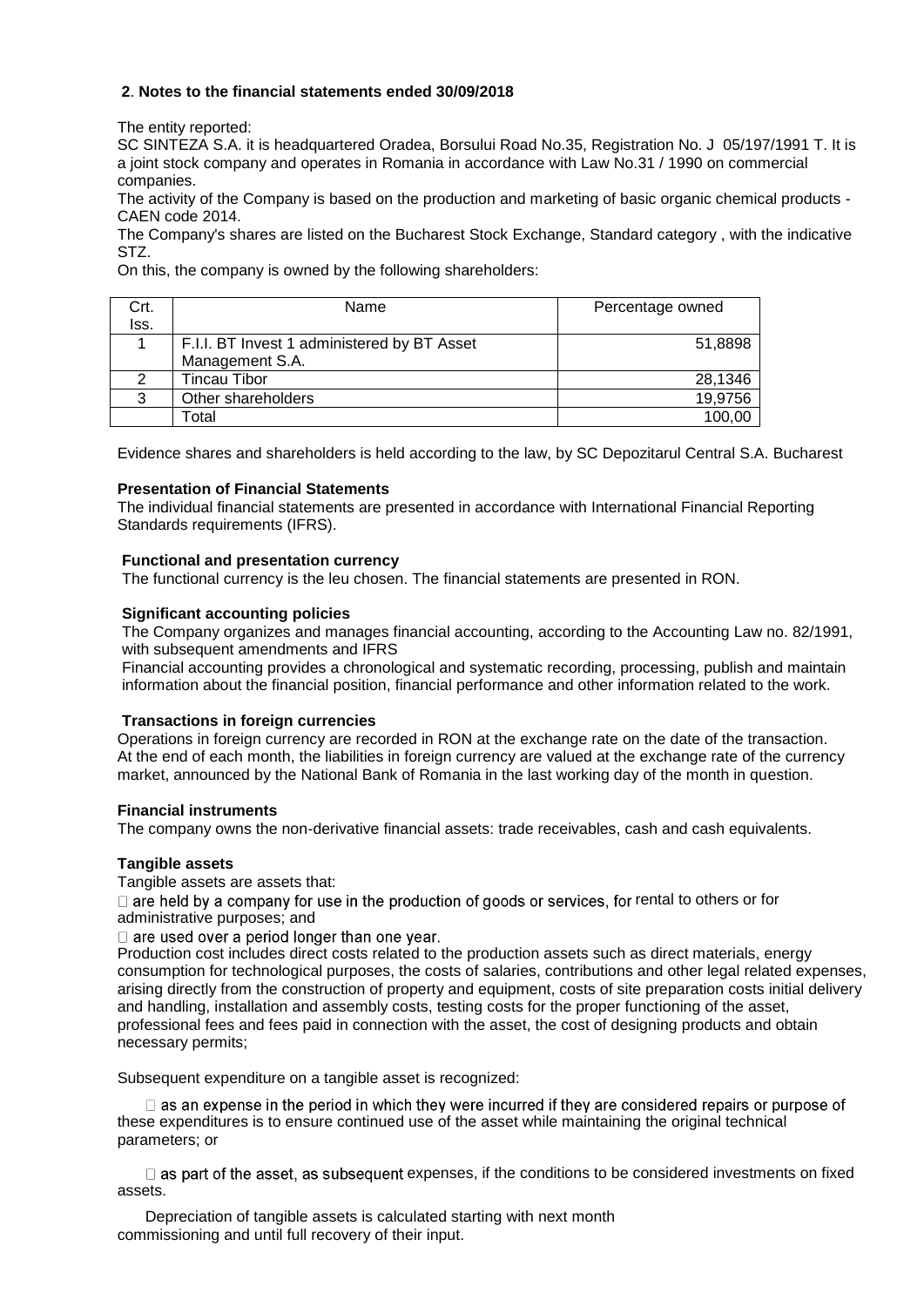## **2**. **Notes to the financial statements ended 30/09/2018**

The entity reported:

SC SINTEZA S.A. it is headquartered Oradea, Borsului Road No.35, Registration No. J 05/197/1991 T. It is a joint stock company and operates in Romania in accordance with Law No.31 / 1990 on commercial companies.

The activity of the Company is based on the production and marketing of basic organic chemical products - CAEN code 2014.

The Company's shares are listed on the Bucharest Stock Exchange, Standard category , with the indicative STZ.

On this, the company is owned by the following shareholders:

| Crt. | Name                                        | Percentage owned |  |
|------|---------------------------------------------|------------------|--|
| lss. |                                             |                  |  |
|      | F.I.I. BT Invest 1 administered by BT Asset | 51,8898          |  |
|      | Management S.A.                             |                  |  |
|      | <b>Tincau Tibor</b>                         | 28,1346          |  |
| 3    | Other shareholders                          | 19,9756          |  |
|      | Гоtal                                       | 100,00           |  |

Evidence shares and shareholders is held according to the law, by SC Depozitarul Central S.A. Bucharest

## **Presentation of Financial Statements**

The individual financial statements are presented in accordance with International Financial Reporting Standards requirements (IFRS).

## **Functional and presentation currency**

The functional currency is the leu chosen. The financial statements are presented in RON.

## **Significant accounting policies**

The Company organizes and manages financial accounting, according to the Accounting Law no. 82/1991, with subsequent amendments and IFRS

Financial accounting provides a chronological and systematic recording, processing, publish and maintain information about the financial position, financial performance and other information related to the work.

#### **Transactions in foreign currencies**

Operations in foreign currency are recorded in RON at the exchange rate on the date of the transaction. At the end of each month, the liabilities in foreign currency are valued at the exchange rate of the currency market, announced by the National Bank of Romania in the last working day of the month in question.

#### **Financial instruments**

The company owns the non-derivative financial assets: trade receivables, cash and cash equivalents.

## **Tangible assets**

Tangible assets are assets that:

 $\Box$  are held by a company for use in the production of goods or services, for rental to others or for administrative purposes; and

 $\Box$  are used over a period longer than one year.

Production cost includes direct costs related to the production assets such as direct materials, energy consumption for technological purposes, the costs of salaries, contributions and other legal related expenses, arising directly from the construction of property and equipment, costs of site preparation costs initial delivery and handling, installation and assembly costs, testing costs for the proper functioning of the asset, professional fees and fees paid in connection with the asset, the cost of designing products and obtain necessary permits;

Subsequent expenditure on a tangible asset is recognized:

 $\Box$  as an expense in the period in which they were incurred if they are considered repairs or purpose of these expenditures is to ensure continued use of the asset while maintaining the original technical parameters; or

 $\Box$  as part of the asset, as subsequent expenses, if the conditions to be considered investments on fixed assets.

Depreciation of tangible assets is calculated starting with next month commissioning and until full recovery of their input.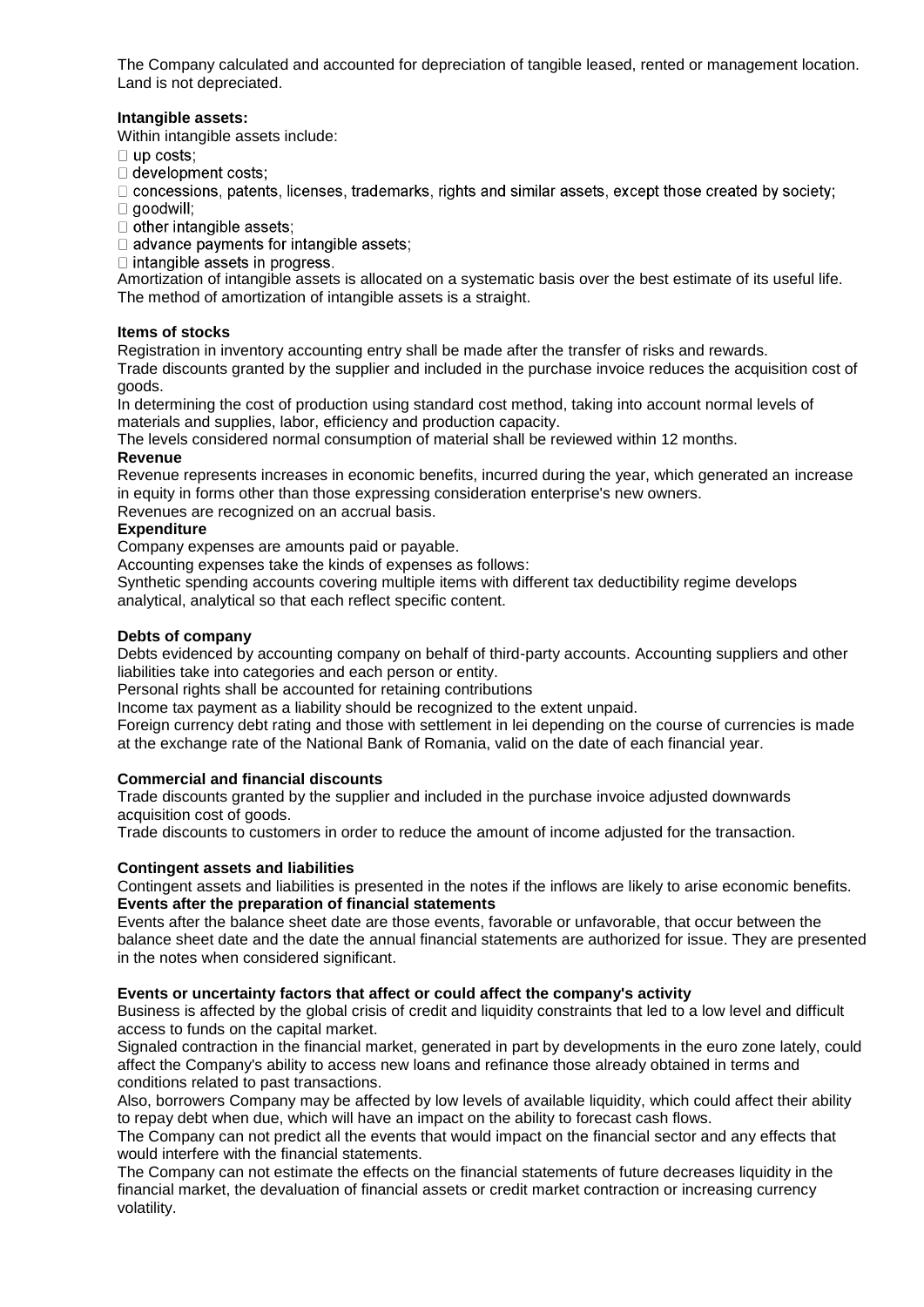The Company calculated and accounted for depreciation of tangible leased, rented or management location. Land is not depreciated.

## **Intangible assets:**

Within intangible assets include:

- $\Box$  up costs;
- □ development costs;

 $\Box$  concessions, patents, licenses, trademarks, rights and similar assets, except those created by society;

- $\Box$  goodwill;
- $\Box$  other intangible assets;

 $\Box$  advance payments for intangible assets:

 $\Box$  intangible assets in progress.

Amortization of intangible assets is allocated on a systematic basis over the best estimate of its useful life. The method of amortization of intangible assets is a straight.

## **Items of stocks**

Registration in inventory accounting entry shall be made after the transfer of risks and rewards. Trade discounts granted by the supplier and included in the purchase invoice reduces the acquisition cost of goods.

In determining the cost of production using standard cost method, taking into account normal levels of materials and supplies, labor, efficiency and production capacity.

The levels considered normal consumption of material shall be reviewed within 12 months.

## **Revenue**

Revenue represents increases in economic benefits, incurred during the year, which generated an increase in equity in forms other than those expressing consideration enterprise's new owners.

Revenues are recognized on an accrual basis.

#### **Expenditure**

Company expenses are amounts paid or payable.

Accounting expenses take the kinds of expenses as follows:

Synthetic spending accounts covering multiple items with different tax deductibility regime develops analytical, analytical so that each reflect specific content.

## **Debts of company**

Debts evidenced by accounting company on behalf of third-party accounts. Accounting suppliers and other liabilities take into categories and each person or entity.

Personal rights shall be accounted for retaining contributions

Income tax payment as a liability should be recognized to the extent unpaid.

Foreign currency debt rating and those with settlement in lei depending on the course of currencies is made at the exchange rate of the National Bank of Romania, valid on the date of each financial year.

## **Commercial and financial discounts**

Trade discounts granted by the supplier and included in the purchase invoice adjusted downwards acquisition cost of goods.

Trade discounts to customers in order to reduce the amount of income adjusted for the transaction.

#### **Contingent assets and liabilities**

Contingent assets and liabilities is presented in the notes if the inflows are likely to arise economic benefits. **Events after the preparation of financial statements**

Events after the balance sheet date are those events, favorable or unfavorable, that occur between the balance sheet date and the date the annual financial statements are authorized for issue. They are presented in the notes when considered significant.

## **Events or uncertainty factors that affect or could affect the company's activity**

Business is affected by the global crisis of credit and liquidity constraints that led to a low level and difficult access to funds on the capital market.

Signaled contraction in the financial market, generated in part by developments in the euro zone lately, could affect the Company's ability to access new loans and refinance those already obtained in terms and conditions related to past transactions.

Also, borrowers Company may be affected by low levels of available liquidity, which could affect their ability to repay debt when due, which will have an impact on the ability to forecast cash flows.

The Company can not predict all the events that would impact on the financial sector and any effects that would interfere with the financial statements.

The Company can not estimate the effects on the financial statements of future decreases liquidity in the financial market, the devaluation of financial assets or credit market contraction or increasing currency volatility.